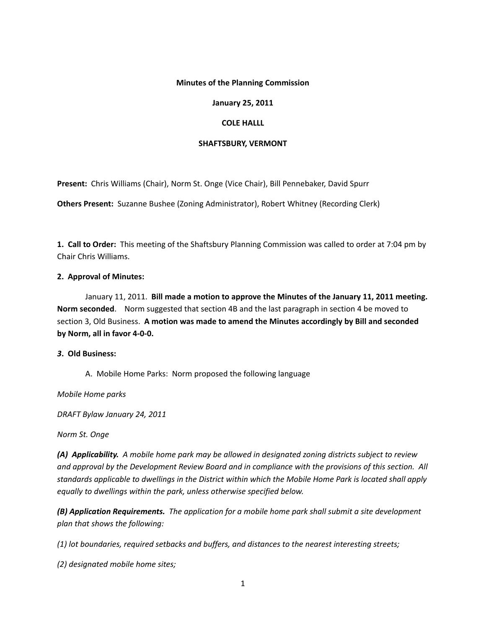# **Minutes of the Planning Commission**

# **January 25, 2011**

# **COLE HALLL**

# **SHAFTSBURY, VERMONT**

**Present:** Chris Williams (Chair), Norm St. Onge (Vice Chair), Bill Pennebaker, David Spurr

**Others Present:** Suzanne Bushee (Zoning Administrator), Robert Whitney (Recording Clerk)

**1. Call to Order:** This meeting of the Shaftsbury Planning Commission was called to order at 7:04 pm by Chair Chris Williams.

# **2. Approval of Minutes:**

January 11, 2011. **Bill made a motion to approve the Minutes of the January 11, 2011 meeting. Norm seconded**. Norm suggested that section 4B and the last paragraph in section 4 be moved to section 3, Old Business. **A motion was made to amend the Minutes accordingly by Bill and seconded by Norm, all in favor 4‐0‐0.**

## *3***. Old Business:**

A. Mobile Home Parks: Norm proposed the following language

*Mobile Home parks*

*DRAFT Bylaw January 24, 2011*

*Norm St. Onge*

(A) Applicability. A mobile home park may be allowed in designated zoning districts subject to review and approval by the Development Review Board and in compliance with the provisions of this section. All standards applicable to dwellings in the District within which the Mobile Home Park is located shall apply *equally to dwellings within the park, unless otherwise specified below.*

*(B) Application Requirements. The application for a mobile home park shall submit a site development plan that shows the following:*

*(1) lot boundaries, required setbacks and buffers, and distances to the nearest interesting streets;*

*(2) designated mobile home sites;*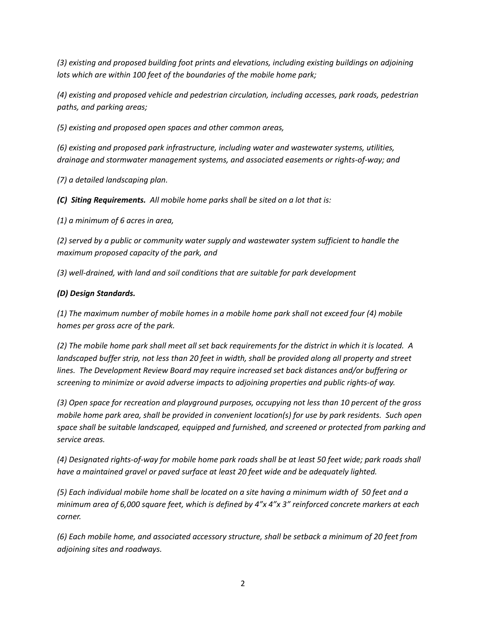*(3) existing and proposed building foot prints and elevations, including existing buildings on adjoining lots which are within 100 feet of the boundaries of the mobile home park;*

*(4) existing and proposed vehicle and pedestrian circulation, including accesses, park roads, pedestrian paths, and parking areas;*

*(5) existing and proposed open spaces and other common areas,*

*(6) existing and proposed park infrastructure, including water and wastewater systems, utilities, drainage and stormwater management systems, and associated easements or rights‐of‐way; and*

*(7) a detailed landscaping plan.*

*(C) Siting Requirements. All mobile home parks shall be sited on a lot that is:*

*(1) a minimum of 6 acres in area,*

*(2) served by a public or community water supply and wastewater system sufficient to handle the maximum proposed capacity of the park, and*

*(3) well‐drained, with land and soil conditions that are suitable for park development*

# *(D) Design Standards.*

*(1) The maximum number of mobile homes in a mobile home park shall not exceed four (4) mobile homes per gross acre of the park.*

(2) The mobile home park shall meet all set back requirements for the district in which it is located. A landscaped buffer strip, not less than 20 feet in width, shall be provided along all property and street *lines. The Development Review Board may require increased set back distances and/or buffering or screening to minimize or avoid adverse impacts to adjoining properties and public rights‐of way.*

*(3) Open space for recreation and playground purposes, occupying not less than 10 percent of the gross* mobile home park area, shall be provided in convenient location(s) for use by park residents. Such open *space shall be suitable landscaped, equipped and furnished, and screened or protected from parking and service areas.*

(4) Designated rights-of-way for mobile home park roads shall be at least 50 feet wide; park roads shall *have a maintained gravel or paved surface at least 20 feet wide and be adequately lighted.* 

(5) Each individual mobile home shall be located on a site having a minimum width of 50 feet and a minimum area of 6,000 square feet, which is defined by 4"x 4"x 3" reinforced concrete markers at each *corner.*

*(6) Each mobile home, and associated accessory structure, shall be setback a minimum of 20 feet from adjoining sites and roadways.*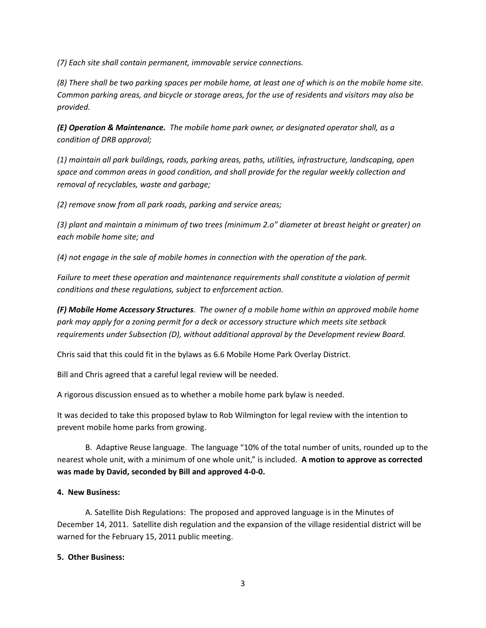*(7) Each site shall contain permanent, immovable service connections.*

(8) There shall be two parking spaces per mobile home, at least one of which is on the mobile home site. Common parking areas, and bicycle or storage areas, for the use of residents and visitors may also be *provided.*

*(E) Operation & Maintenance. The mobile home park owner, or designated operator shall, as a condition of DRB approval;*

*(1) maintain all park buildings, roads, parking areas, paths, utilities, infrastructure, landscaping, open space and common areas in good condition, and shall provide for the regular weekly collection and removal of recyclables, waste and garbage;*

*(2) remove snow from all park roads, parking and service areas;*

(3) plant and maintain a minimum of two trees (minimum 2.0" diameter at breast height or greater) on *each mobile home site; and*

*(4) not engage in the sale of mobile homes in connection with the operation of the park.* 

*Failure to meet these operation and maintenance requirements shall constitute a violation of permit conditions and these regulations, subject to enforcement action.*

*(F) Mobile Home Accessory Structures. The owner of a mobile home within an approved mobile home park may apply for a zoning permit for a deck or accessory structure which meets site setback requirements under Subsection (D), without additional approval by the Development review Board.*

Chris said that this could fit in the bylaws as 6.6 Mobile Home Park Overlay District.

Bill and Chris agreed that a careful legal review will be needed.

A rigorous discussion ensued as to whether a mobile home park bylaw is needed.

It was decided to take this proposed bylaw to Rob Wilmington for legal review with the intention to prevent mobile home parks from growing.

B. Adaptive Reuse language. The language "10% of the total number of units, rounded up to the nearest whole unit, with a minimum of one whole unit," is included. **A motion to approve as corrected was made by David, seconded by Bill and approved 4‐0‐0.** 

## **4. New Business:**

A. Satellite Dish Regulations: The proposed and approved language is in the Minutes of December 14, 2011. Satellite dish regulation and the expansion of the village residential district will be warned for the February 15, 2011 public meeting.

## **5. Other Business:**